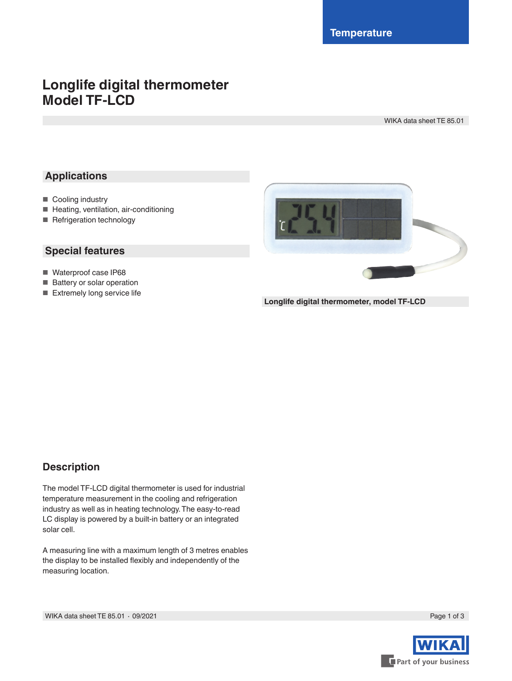# **Longlife digital thermometer Model TF-LCD**

WIKA data sheet TE 85.01

#### **Applications**

- Cooling industry
- Heating, ventilation, air-conditioning
- Refrigeration technology

#### **Special features**

- Waterproof case IP68
- Battery or solar operation
- Extremely long service life



**Longlife digital thermometer, model TF-LCD**

#### **Description**

The model TF-LCD digital thermometer is used for industrial temperature measurement in the cooling and refrigeration industry as well as in heating technology. The easy-to-read LC display is powered by a built-in battery or an integrated solar cell.

A measuring line with a maximum length of 3 metres enables the display to be installed flexibly and independently of the measuring location.

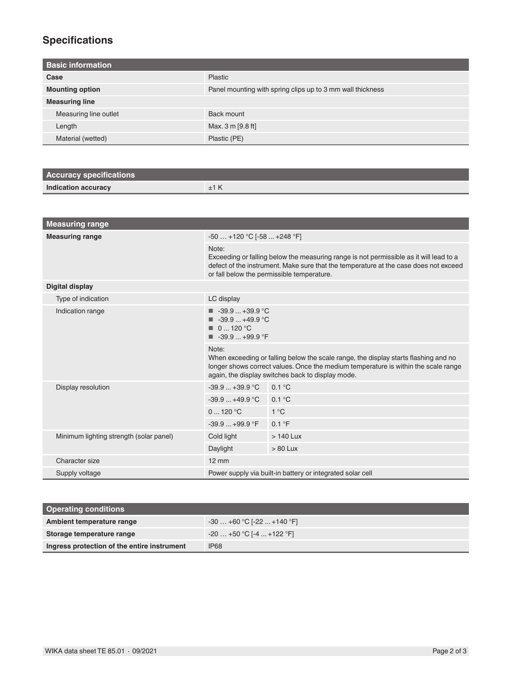## **Specifications**

| <b>Basic information</b> |                                                            |
|--------------------------|------------------------------------------------------------|
| Case                     | <b>Plastic</b>                                             |
| <b>Mounting option</b>   | Panel mounting with spring clips up to 3 mm wall thickness |
| <b>Measuring line</b>    |                                                            |
| Measuring line outlet    | Back mount                                                 |
| Length                   | Max. 3 m [9.8 ft]                                          |
| Material (wetted)        | Plastic (PE)                                               |

| <b>Accuracy specifications</b> |  |
|--------------------------------|--|
| Indication accuracy            |  |

| <b>Measuring range</b>                  |                                                                                                                                                                                                                                         |               |  |  |
|-----------------------------------------|-----------------------------------------------------------------------------------------------------------------------------------------------------------------------------------------------------------------------------------------|---------------|--|--|
| <b>Measuring range</b>                  | $-50+120$ °C [ $-58+248$ °F]                                                                                                                                                                                                            |               |  |  |
|                                         | Note:<br>Exceeding or falling below the measuring range is not permissible as it will lead to a<br>defect of the instrument. Make sure that the temperature at the case does not exceed<br>or fall below the permissible temperature.   |               |  |  |
| <b>Digital display</b>                  |                                                                                                                                                                                                                                         |               |  |  |
| Type of indication                      | LC display                                                                                                                                                                                                                              |               |  |  |
| Indication range                        | $\blacksquare$ -39.9  +39.9 °C<br>$\blacksquare$ -39.9  +49.9 °C<br>$\blacksquare$ 0  120 °C<br>$\blacksquare$ -39.9  +99.9 °F                                                                                                          |               |  |  |
|                                         | Note:<br>When exceeding or falling below the scale range, the display starts flashing and no<br>longer shows correct values. Once the medium temperature is within the scale range<br>again, the display switches back to display mode. |               |  |  |
| Display resolution                      | $-39.9+39.9^{\circ}C$                                                                                                                                                                                                                   | 0.1 °C        |  |  |
|                                         | $-39.9+49.9$ °C                                                                                                                                                                                                                         | 0.1 °C        |  |  |
|                                         | 0120 °C                                                                                                                                                                                                                                 | $1^{\circ}$ C |  |  |
|                                         | $-39.9+99.9$ °F                                                                                                                                                                                                                         | 0.1 °F        |  |  |
| Minimum lighting strength (solar panel) | Cold light                                                                                                                                                                                                                              | $>140$ Lux    |  |  |
|                                         | Daylight                                                                                                                                                                                                                                | $> 80$ Lux    |  |  |
| Character size                          | $12 \text{ mm}$                                                                                                                                                                                                                         |               |  |  |
| Supply voltage                          | Power supply via built-in battery or integrated solar cell                                                                                                                                                                              |               |  |  |

| <b>Operating conditions</b>                 |                            |  |
|---------------------------------------------|----------------------------|--|
| Ambient temperature range                   | $-30+60 °C$ [-22  +140 °F] |  |
| Storage temperature range                   | $-20+50$ °C [-4  +122 °F]  |  |
| Ingress protection of the entire instrument | IP <sub>68</sub>           |  |